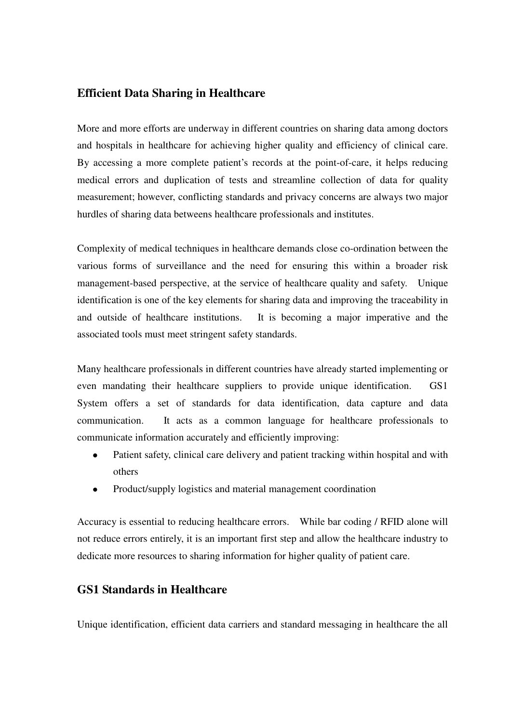### **Efficient Data Sharing in Healthcare**

More and more efforts are underway in different countries on sharing data a mong doctors and hospitals in healthcare for achieving higher quality and efficiency of clinical care. By accessing a more complete patient's records at the point-of-care, it h elps reducing medical errors and duplication of tests and streamline collection of dat a for quality measurement; however, conflicting standards and privacy concerns are always two major hurdles of sharing data betweens healthcare professionals and institutes.

Complexity of medical techniques in healthcare demands close co-ordinatio n between the various forms of surveillance and the need for ensuring this within a broader risk management-based perspective, at the service of healthcare quality and saf ety. Unique identification is one of the key elements for sharing data and improving the t raceability in and outside of healthcare institutions. It is becoming a major impera tive and the associated tools must meet stringent safety standards.

Many healthcare professionals in different countries have already started implementing or even mandating their healthcare suppliers to provide unique identification. GS1 System offers a set of standards for data identification, data capture and data communication. It acts as a common language for healthcare professionals to communicate information accurately and efficiently improving:

- Patient safety, clinical care delivery and patient tracking within hospital and with others
- Product/supply logistics and material management coordination

Accuracy is essential to reducing healthcare errors. While bar coding / RFID alone will not reduce errors entirely, it is an important first step and allow the healthcare industry to dedicate more resources to sharing information for higher quality of patient care.

## **GS1 Standards in Healthcare**

Unique identification, efficient data carriers and standard messaging in healthcare the all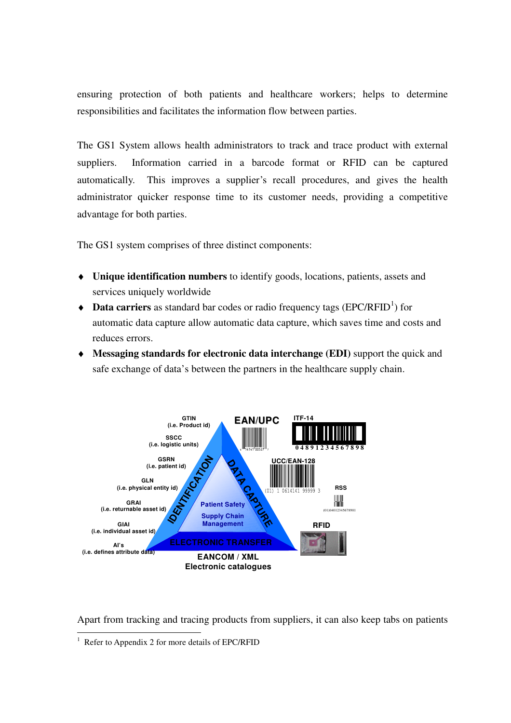ensuring protection of both patients and healthcare workers; helps to determine responsibilities and facilitates the information flow between parties.

The GS1 System allows health administrators to track and trace product with external suppliers. Information carried in a barcode format or RFID can be captured automatically. This improves a supplier's recall procedures, and gives the health administrator quicker response time to its customer needs, providing a competitive advantage for both parties.

The GS1 system comprises of three distinct components:

- ♦ **Unique identification numbers** to identify goods, locations, patients, assets and services uniquely worldwide
- Data carriers as standard bar codes or radio frequency tags (EPC/RFID<sup>1</sup>) for automatic data capture allow automatic data capture, which saves time and costs and reduces errors.
- ♦ **Messaging standards for electronic data interchange (EDI)** support the quick and safe exchange of data's between the partners in the healthcare supply chain.



Apart from tracking and tracing products from suppliers, it can also keep tabs on patients

 1 Refer to Appendix 2 for more details of EPC/RFID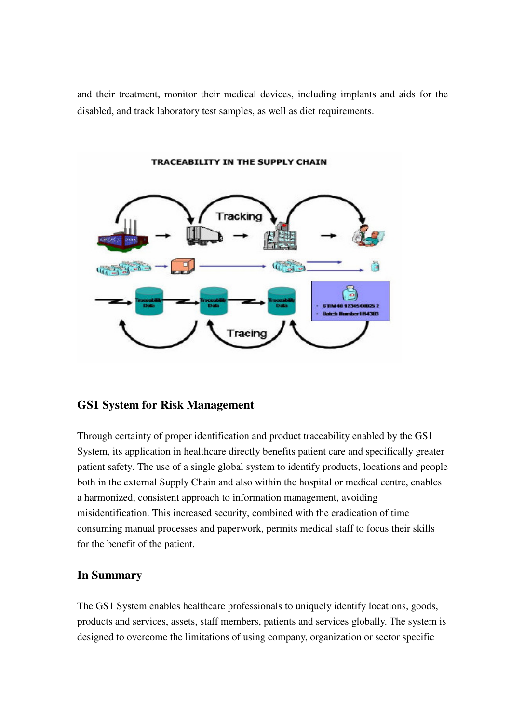and their treatment, monitor their medical devices, including implants and aids for the disabled, and track laboratory test samples, as well as diet requirements.



## **GS1 System for Risk Management**

Through certainty of proper identification and product traceability enabled by the GS1 System, its application in healthcare directly benefits patient care and specifically greater patient safety. The use of a single global system to identify products, locations and people both in the external Supply Chain and also within the hospital or medical centre, enables a harmonized, consistent approach to information management, avoiding misidentification. This increased security, combined with the eradication of time consuming manual processes and paperwork, permits medical staff to focus their skills for the benefit of the patient.

### **In Summary**

The GS1 System enables healthcare professionals to uniquely identify locations, goods, products and services, assets, staff members, patients and services globally. The system is designed to overcome the limitations of using company, organization or sector specific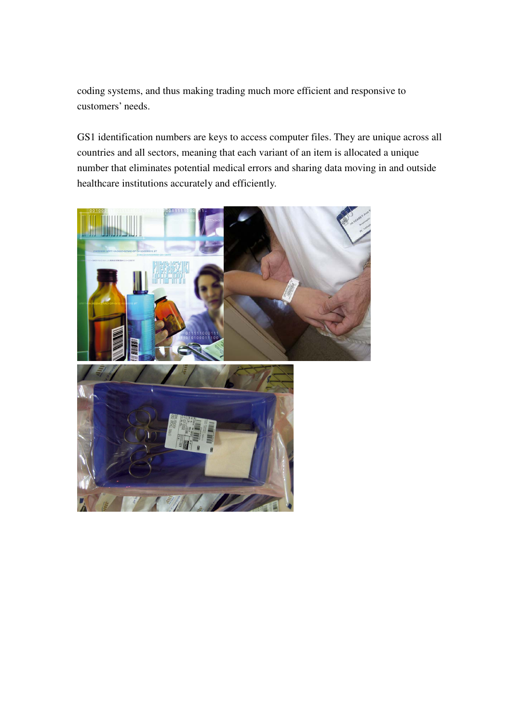coding systems, and thus making trading much more efficient and responsive to customers' needs.

GS1 identification numbers are keys to access computer files. They are unique across all countries and all sectors, meaning that each variant of an item is allocated a unique number that eliminates potential medical errors and sharing data moving in and outside healthcare institutions accurately and efficiently.

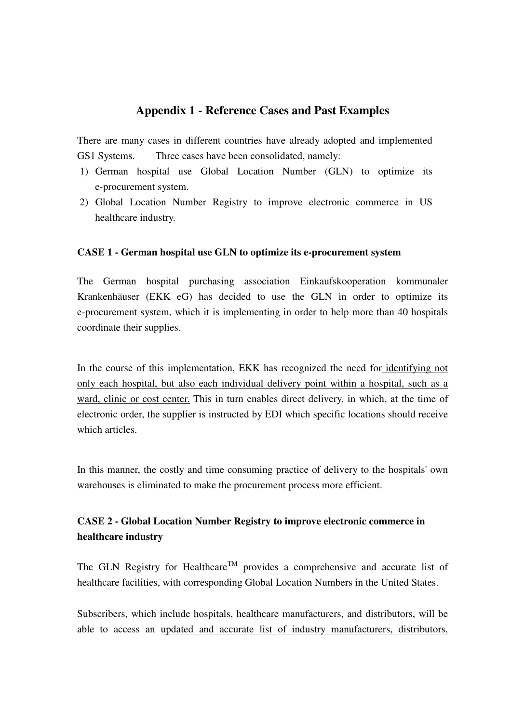## **Appendix 1 - Reference Cases and Past Examples**

There are many cases in different countries have already adopted and implemented GS1 Systems. Three cases have been consolidated, namely:

- 1) German hospital use Global Location Number (GLN) to optimize its e-procurement system.
- 2) Global Location Number Registry to improve electronic commerce in US healthcare industry.

### **CASE 1 - German hospital use GLN to optimize its e-procurement system**

The German hospital purchasing association Einkaufskooperation kommunaler Krankenhäuser (EKK eG) has decided to use the GLN in order to optimize its e-procurement system, which it is implementing in order to help more than 40 hospitals coordinate their supplies.

In the course of this implementation, EKK has recognized the need for identifying not only each hospital, but also each individual delivery point within a hospital, such as a ward, clinic or cost center. This in turn enables direct delivery, in which, at the time of electronic order, the supplier is instructed by EDI which specific locations should receive which articles.

In this manner, the costly and time consuming practice of delivery to the hospitals' own warehouses is eliminated to make the procurement process more efficient.

## **CASE 2 - Global Location Number Registry to improve electronic commerce in healthcare industry**

The GLN Registry for Healthcare<sup>TM</sup> provides a comprehensive and accurate list of healthcare facilities, with corresponding Global Location Numbers in the United States.

Subscribers, which include hospitals, healthcare manufacturers, and distributors, will be able to access an updated and accurate list of industry manufacturers, distributors,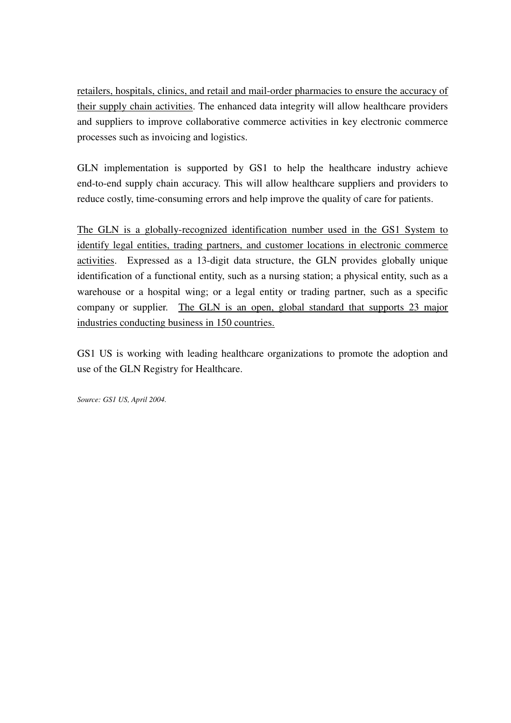retailers, hospitals, clinics, and retail and mail-order pharmacies to ensure the accuracy of their supply chain activities. The enhanced data integrity will allow healthcare providers and suppliers to improve collaborative commerce activities in key electronic commerce processes such as invoicing and logistics.

GLN implementation is supported by GS1 to help the healthcare industry achieve end-to-end supply chain accuracy. This will allow healthcare suppliers and providers to reduce costly, time-consuming errors and help improve the quality of care for patients.

The GLN is a globally-recognized identification number used in the GS1 System to identify legal entities, trading partners, and customer locations in electronic commerce activities. Expressed as a 13-digit data structure, the GLN provides globally unique identification of a functional entity, such as a nursing station; a physical entity, such as a warehouse or a hospital wing; or a legal entity or trading partner, such as a specific company or supplier. The GLN is an open, global standard that supports 23 major industries conducting business in 150 countries.

GS1 US is working with leading healthcare organizations to promote the adoption and use of the GLN Registry for Healthcare.

*Source: GS1 US, April 2004.*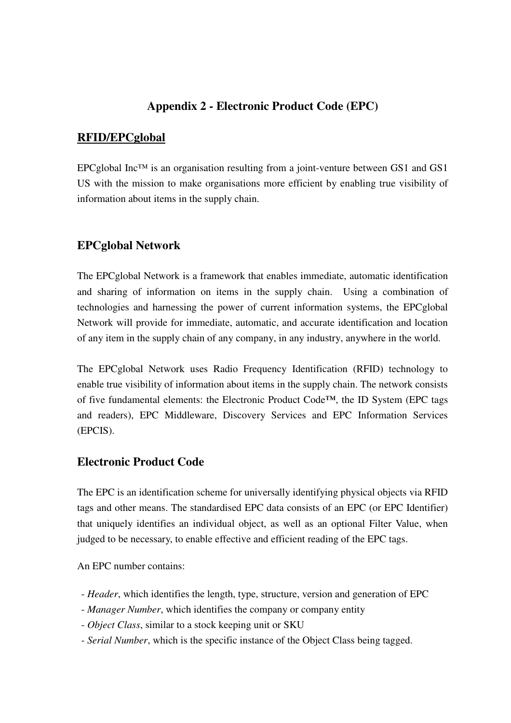## **Appendix 2 - Electronic Product Code (EPC)**

### **RFID/EPCglobal**

EPCglobal Inc<sup>TM</sup> is an organisation resulting from a joint-venture between GS1 and GS1 US with the mission to make organisations more efficient by enabling true visibility of information about items in the supply chain.

## **EPCglobal Network**

The EPCglobal Network is a framework that enables immediate, automatic identification and sharing of information on items in the supply chain. Using a combination of technologies and harnessing the power of current information systems, the EPCglobal Network will provide for immediate, automatic, and accurate identification and location of any item in the supply chain of any company, in any industry, anywhere in the world.

The EPCglobal Network uses Radio Frequency Identification (RFID) technology to enable true visibility of information about items in the supply chain. The network consists of five fundamental elements: the Electronic Product Code**™**, the ID System (EPC tags and readers), EPC Middleware, Discovery Services and EPC Information Services (EPCIS).

## **Electronic Product Code**

The EPC is an identification scheme for universally identifying physical objects via RFID tags and other means. The standardised EPC data consists of an EPC (or EPC Identifier) that uniquely identifies an individual object, as well as an optional Filter Value, when judged to be necessary, to enable effective and efficient reading of the EPC tags.

An EPC number contains:

- *Header*, which identifies the length, type, structure, version and generation of EPC
- *Manager Number*, which identifies the company or company entity
- *Object Class*, similar to a stock keeping unit or SKU
- *Serial Number*, which is the specific instance of the Object Class being tagged.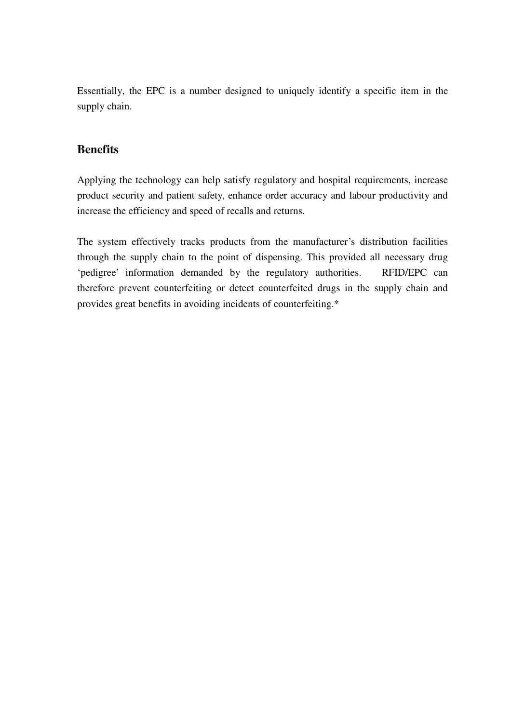Essentially, the EPC is a number designed to uniquely identify a specific item in the supply chain.

## **Benefits**

Applying the technology can help satisfy regulatory and hospital requirements, increase product security and patient safety, enhance order accuracy and labour productivity and increase the efficiency and speed of recalls and returns.

The system effectively tracks products from the manufacturer's distribution facilities through the supply chain to the point of dispensing. This provided all necessary drug 'pedigree' information demanded by the regulatory authorities. RFID/EPC can therefore prevent counterfeiting or detect counterfeited drugs in the supply chain and provides great benefits in avoiding incidents of counterfeiting.\*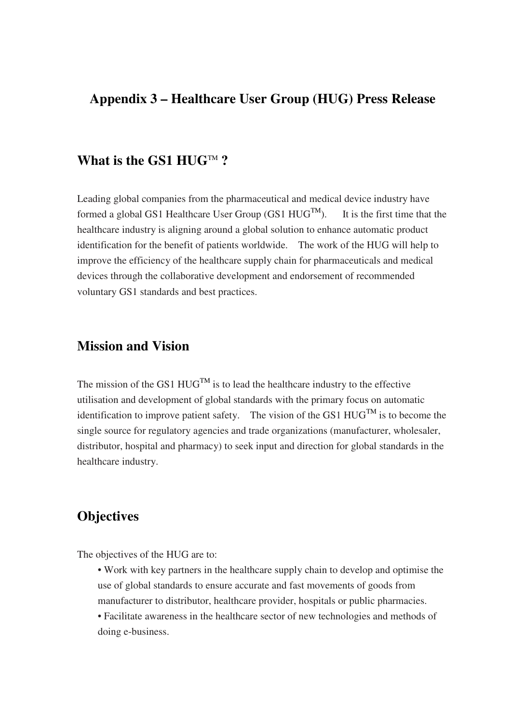## **Appendix 3 – Healthcare User Group (HUG) Press Release**

# What is the GS1 HUG<sup>TM</sup>?

Leading global companies from the pharmaceutical and medical device industry have formed a global GS1 Healthcare User Group (GS1  $HUG^{TM}$ ). It is the first time that the healthcare industry is aligning around a global solution to enhance automatic product identification for the benefit of patients worldwide. The work of the HUG will help to improve the efficiency of the healthcare supply chain for pharmaceuticals and medical devices through the collaborative development and endorsement of recommended voluntary GS1 standards and best practices.

# **Mission and Vision**

The mission of the GS1  $HUG^{TM}$  is to lead the healthcare industry to the effective utilisation and development of global standards with the primary focus on automatic identification to improve patient safety. The vision of the GS1  $HUG^{TM}$  is to become the single source for regulatory agencies and trade organizations (manufacturer, wholesaler, distributor, hospital and pharmacy) to seek input and direction for global standards in the healthcare industry.

## **Objectives**

The objectives of the HUG are to:

- Work with key partners in the healthcare supply chain to develop and optimise the use of global standards to ensure accurate and fast movements of goods from manufacturer to distributor, healthcare provider, hospitals or public pharmacies.
- Facilitate awareness in the healthcare sector of new technologies and methods of doing e-business.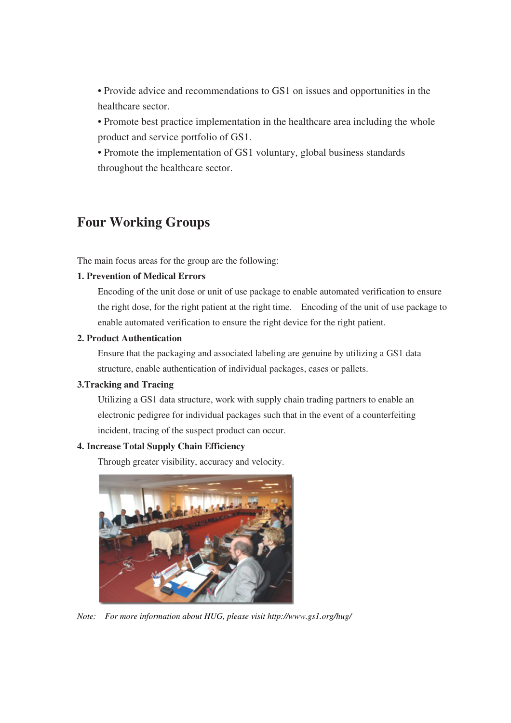• Provide advice and recommendations to GS1 on issues and opportunities in the healthcare sector.

• Promote best practice implementation in the healthcare area including the whole product and service portfolio of GS1.

• Promote the implementation of GS1 voluntary, global business standards throughout the healthcare sector.

# **Four Working Groups**

The main focus areas for the group are the following:

### **1. Prevention of Medical Errors**

Encoding of the unit dose or unit of use package to enable automated verification to ensure the right dose, for the right patient at the right time. Encoding of the unit of use package to enable automated verification to ensure the right device for the right patient.

#### **2. Product Authentication**

Ensure that the packaging and associated labeling are genuine by utilizing a GS1 data structure, enable authentication of individual packages, cases or pallets.

#### **3.Tracking and Tracing**

Utilizing a GS1 data structure, work with supply chain trading partners to enable an electronic pedigree for individual packages such that in the event of a counterfeiting incident, tracing of the suspect product can occur.

#### **4. Increase Total Supply Chain Efficiency**

Through greater visibility, accuracy and velocity.



*Note: For more information about HUG, please visit http://www.gs1.org/hug/*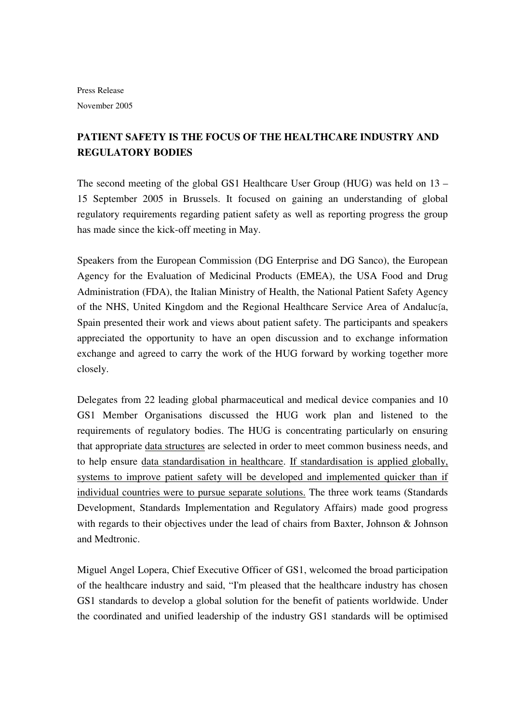# **PATIENT SAFETY IS THE FOCUS OF THE HEALTHCARE INDUSTRY AND REGULATORY BODIES**

The second meeting of the global GS1 Healthcare User Group (HUG) was held on 13 – 15 September 2005 in Brussels. It focused on gaining an understanding of global regulatory requirements regarding patient safety as well as reporting progress the group has made since the kick-off meeting in May.

Speakers from the European Commission (DG Enterprise and DG Sanco), the European Agency for the Evaluation of Medicinal Products (EMEA), the USA Food and Drug Administration (FDA), the Italian Ministry of Health, the National Patient Safety Agency of the NHS, United Kingdom and the Regional Healthcare Service Area of Andalucía, Spain presented their work and views about patient safety. The participants and speakers appreciated the opportunity to have an open discussion and to exchange information exchange and agreed to carry the work of the HUG forward by working together more closely.

Delegates from 22 leading global pharmaceutical and medical device companies and 10 GS1 Member Organisations discussed the HUG work plan and listened to the requirements of regulatory bodies. The HUG is concentrating particularly on ensuring that appropriate data structures are selected in order to meet common business needs, and to help ensure data standardisation in healthcare. If standardisation is applied globally, systems to improve patient safety will be developed and implemented quicker than if individual countries were to pursue separate solutions. The three work teams (Standards Development, Standards Implementation and Regulatory Affairs) made good progress with regards to their objectives under the lead of chairs from Baxter, Johnson & Johnson and Medtronic.

Miguel Angel Lopera, Chief Executive Officer of GS1, welcomed the broad participation of the healthcare industry and said, "I'm pleased that the healthcare industry has chosen GS1 standards to develop a global solution for the benefit of patients worldwide. Under the coordinated and unified leadership of the industry GS1 standards will be optimised